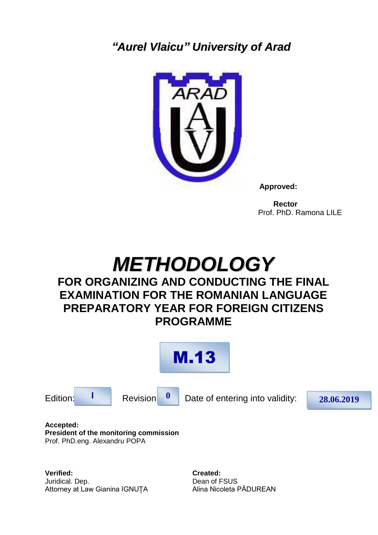*"Aurel Vlaicu" University of Arad*



**Approved:**

**Rector** Prof. PhD. Ramona LILE

# *METHODOLOGY*

# **FOR ORGANIZING AND CONDUCTING THE FINAL EXAMINATION FOR THE ROMANIAN LANGUAGE PREPARATORY YEAR FOR FOREIGN CITIZENS PROGRAMME**



**President of the monitoring commission** Prof. PhD.eng. Alexandru POPA

**Verified: Created:** Juridical. Dep. Attorney at Law Gianina IGNUȚA Alina Nicoleta PĂDUREAN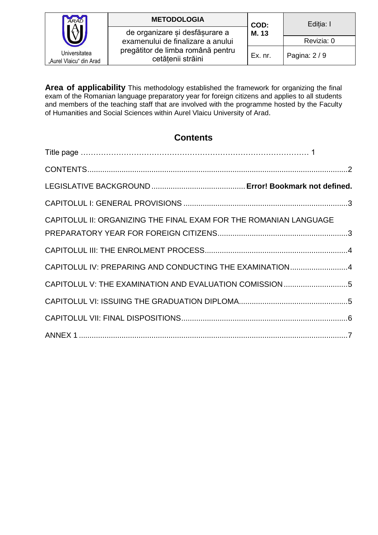| ARAD                                     | <b>METODOLOGIA</b>                                     | COD:    | Editia: I     |
|------------------------------------------|--------------------------------------------------------|---------|---------------|
|                                          | de organizare și desfășurare a                         | M. 13   |               |
|                                          | examenului de finalizare a anului                      |         | Revizia: 0    |
| Universitatea<br>"Aurel Vlaicu" din Arad | pregătitor de limba română pentru<br>cetătenii străini | Ex. nr. | Pagina: $2/9$ |

**Area of applicability** This methodology established the framework for organizing the final exam of the Romanian language preparatory year for foreign citizens and applies to all students and members of the teaching staff that are involved with the programme hosted by the Faculty of Humanities and Social Sciences within Aurel Vlaicu University of Arad.

# **Contents**

<span id="page-1-0"></span>

| CAPITOLUL II: ORGANIZING THE FINAL EXAM FOR THE ROMANIAN LANGUAGE |  |
|-------------------------------------------------------------------|--|
|                                                                   |  |
|                                                                   |  |
| CAPITOLUL IV: PREPARING AND CONDUCTING THE EXAMINATION4           |  |
| CAPITOLUL V: THE EXAMINATION AND EVALUATION COMISSION 5           |  |
|                                                                   |  |
|                                                                   |  |
|                                                                   |  |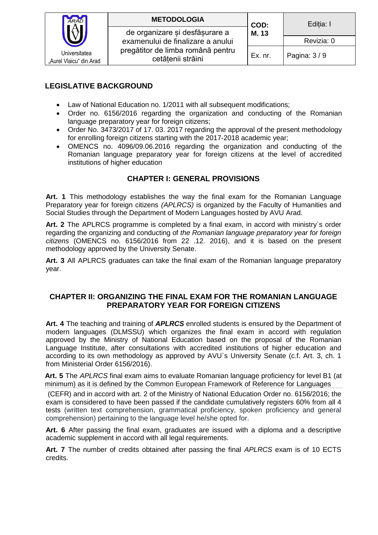| ARAD                                     | <b>METODOLOGIA</b>                                     | COD:    | Editia: I     |
|------------------------------------------|--------------------------------------------------------|---------|---------------|
|                                          | de organizare și desfășurare a                         | M. 13   |               |
|                                          | examenului de finalizare a anului                      |         | Revizia: 0    |
| Universitatea<br>"Aurel Vlaicu" din Arad | pregătitor de limba română pentru<br>cetătenii străini | Ex. nr. | Pagina: $3/9$ |

# **LEGISLATIVE BACKGROUND**

- Law of National Education no. 1/2011 with all subsequent modifications;
- Order no. 6156/2016 regarding the organization and conducting of the Romanian language preparatory year for foreign citizens;
- Order No. 3473/2017 of 17, 03, 2017 regarding the approval of the present methodology for enrolling foreign citizens starting with the 2017-2018 academic year;
- OMENCS no. 4096/09.06.2016 regarding the organization and conducting of the Romanian language preparatory year for foreign citizens at the level of accredited institutions of higher education

# **CHAPTER I: GENERAL PROVISIONS**

<span id="page-2-0"></span>**Art. 1** This methodology establishes the way the final exam for the Romanian Language Preparatory year for foreign citizens *(APLRCS)* is organized by the Faculty of Humanities and Social Studies through the Department of Modern Languages hosted by AVU Arad.

**Art. 2** The APLRCS programme is completed by a final exam, in accord with ministry`s order regarding the organizing and conducting of *the Romanian language preparatory year for foreign citizens* (OMENCS no. 6156/2016 from 22 .12. 2016), and it is based on the present methodology approved by the University Senate.

**Art. 3** All APLRCS graduates can take the final exam of the Romanian language preparatory year.

# <span id="page-2-1"></span>**CHAPTER II: ORGANIZING THE FINAL EXAM FOR THE ROMANIAN LANGUAGE PREPARATORY YEAR FOR FOREIGN CITIZENS**

**Art. 4** The teaching and training of *APLRCS* enrolled students is ensured by the Department of modern languages (DLMSSU) which organizes the final exam in accord with regulation approved by the Ministry of National Education based on the proposal of the Romanian Language Institute, after consultations with accredited institutions of higher education and according to its own methodology as approved by AVU`s University Senate (c.f. Art. 3, ch. 1 from Ministerial Order 6156/2016).

**Art. 5** The *APLRCS* final exam aims to evaluate Romanian language proficiency for level B1 (at minimum) as it is defined by the Common European Framework of Reference for Languages

(CEFR) and in accord with art. 2 of the Ministry of National Education Order no. 6156/2016; the exam is considered to have been passed if the candidate cumulatively registers 60% from all 4 tests (written text comprehension, grammatical proficiency, spoken proficiency and general comprehension) pertaining to the language level he/she opted for.

**Art. 6** After passing the final exam, graduates are issued with a diploma and a descriptive academic supplement in accord with all legal requirements.

**Art. 7** The number of credits obtained after passing the final *APLRCS* exam is of 10 ECTS credits.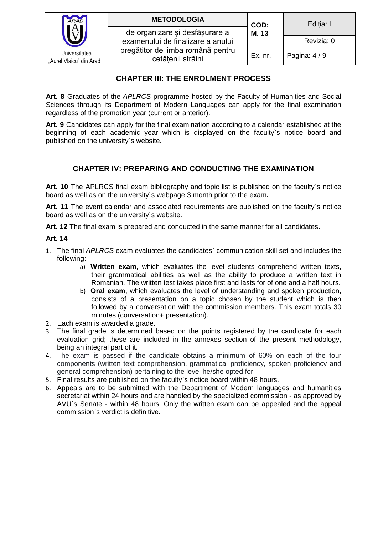| <b>ARAD</b>                              | <b>METODOLOGIA</b>                                     | COD:    | Editia: I     |
|------------------------------------------|--------------------------------------------------------|---------|---------------|
|                                          | de organizare și desfășurare a                         | M. 13   |               |
|                                          | examenului de finalizare a anului                      |         | Revizia: 0    |
| Universitatea<br>"Aurel Vlaicu" din Arad | pregătitor de limba română pentru<br>cetătenii străini | Ex. nr. | Pagina: $4/9$ |

# **CHAPTER III: THE ENROLMENT PROCESS**

<span id="page-3-0"></span>**Art. 8** Graduates of the *APLRCS* programme hosted by the Faculty of Humanities and Social Sciences through its Department of Modern Languages can apply for the final examination regardless of the promotion year (current or anterior).

**Art. 9** Candidates can apply for the final examination according to a calendar established at the beginning of each academic year which is displayed on the faculty`s notice board and published on the university`s website**.** 

# **CHAPTER IV: PREPARING AND CONDUCTING THE EXAMINATION**

<span id="page-3-1"></span>**Art. 10** The APLRCS final exam bibliography and topic list is published on the faculty`s notice board as well as on the university`s webpage 3 month prior to the exam**.** 

Art. 11 The event calendar and associated requirements are published on the faculty's notice board as well as on the university`s website.

**Art. 12** The final exam is prepared and conducted in the same manner for all candidates**.** 

#### **Art. 14**

- 1. The final *APLRCS* exam evaluates the candidates` communication skill set and includes the following:
	- a) **Written exam**, which evaluates the level students comprehend written texts, their grammatical abilities as well as the ability to produce a written text in Romanian. The written test takes place first and lasts for of one and a half hours.
	- b) **Oral exam**, which evaluates the level of understanding and spoken production, consists of a presentation on a topic chosen by the student which is then followed by a conversation with the commission members. This exam totals 30 minutes (conversation+ presentation).
- 2. Each exam is awarded a grade.
- 3. The final grade is determined based on the points registered by the candidate for each evaluation grid; these are included in the annexes section of the present methodology, being an integral part of it.
- 4. The exam is passed if the candidate obtains a minimum of 60% on each of the four components (written text comprehension, grammatical proficiency, spoken proficiency and general comprehension) pertaining to the level he/she opted for.
- 5. Final results are published on the faculty`s notice board within 48 hours.
- 6. Appeals are to be submitted with the Department of Modern languages and humanities secretariat within 24 hours and are handled by the specialized commission - as approved by AVU`s Senate - within 48 hours. Only the written exam can be appealed and the appeal commission`s verdict is definitive.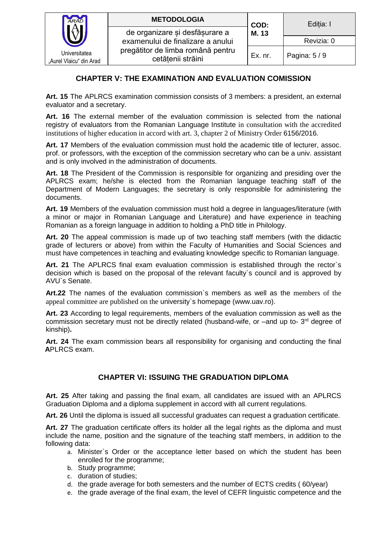| <b>ARAD</b>                              | <b>METODOLOGIA</b>                                     | COD:    | Editia: I     |
|------------------------------------------|--------------------------------------------------------|---------|---------------|
|                                          | de organizare și desfășurare a                         | M. 13   |               |
|                                          | examenului de finalizare a anului                      |         | Revizia: 0    |
| Universitatea<br>"Aurel Vlaicu" din Arad | pregătitor de limba română pentru<br>cetătenii străini | Ex. nr. | Pagina: $5/9$ |

# **CHAPTER V: THE EXAMINATION AND EVALUATION COMISSION**

<span id="page-4-0"></span>**Art. 15** The APLRCS examination commission consists of 3 members: a president, an external evaluator and a secretary.

**Art. 16** The external member of the evaluation commission is selected from the national registry of evaluators from the Romanian Language Institute in consultation with the accredited institutions of higher education in accord with art. 3, chapter 2 of Ministry Order 6156/2016.

**Art. 17** Members of the evaluation commission must hold the academic title of lecturer, assoc. prof. or professors, with the exception of the commission secretary who can be a univ. assistant and is only involved in the administration of documents.

**Art. 18** The President of the Commission is responsible for organizing and presiding over the APLRCS exam; he/she is elected from the Romanian language teaching staff of the Department of Modern Languages; the secretary is only responsible for administering the documents.

**Art. 19** Members of the evaluation commission must hold a degree in languages/literature (with a minor or major in Romanian Language and Literature) and have experience in teaching Romanian as a foreign language in addition to holding a PhD title in Philology.

**Art. 20** The appeal commission is made up of two teaching staff members (with the didactic grade of lecturers or above) from within the Faculty of Humanities and Social Sciences and must have competences in teaching and evaluating knowledge specific to Romanian language.

**Art. 21** The APLRCS final exam evaluation commission is established through the rector`s decision which is based on the proposal of the relevant faculty`s council and is approved by AVU`s Senate.

**Art.22** The names of the evaluation commission`s members as well as the members of the appeal committee are published on the university`s homepage (www.uav.ro).

**Art. 23** According to legal requirements, members of the evaluation commission as well as the commission secretary must not be directly related (husband-wife, or -and up to-3<sup>rd</sup> degree of kinship)**.**

**Art. 24** The exam commission bears all responsibility for organising and conducting the final **A**PLRCS exam.

# **CHAPTER VI: ISSUING THE GRADUATION DIPLOMA**

<span id="page-4-1"></span>**Art. 25** After taking and passing the final exam, all candidates are issued with an APLRCS Graduation Diploma and a diploma supplement in accord with all current regulations.

**Art. 26** Until the diploma is issued all successful graduates can request a graduation certificate.

**Art. 27** The graduation certificate offers its holder all the legal rights as the diploma and must include the name, position and the signature of the teaching staff members, in addition to the following data:

- a. Minister`s Order or the acceptance letter based on which the student has been enrolled for the programme;
- b. Study programme;
- c. duration of studies;
- d. the grade average for both semesters and the number of ECTS credits ( 60/year)
- e. the grade average of the final exam, the level of CEFR linguistic competence and the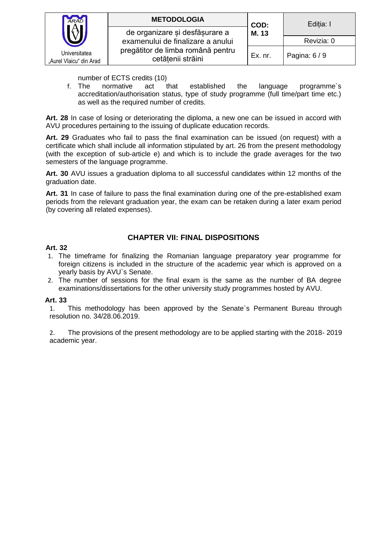| ARAD                                     | <b>METODOLOGIA</b>                                     | COD:    | Editia: I     |
|------------------------------------------|--------------------------------------------------------|---------|---------------|
|                                          | de organizare și desfășurare a                         | M. 13   |               |
|                                          | examenului de finalizare a anului                      |         | Revizia: 0    |
| Universitatea<br>"Aurel Vlaicu" din Arad | pregătitor de limba română pentru<br>cetătenii străini | Ex. nr. | Pagina: $6/9$ |

#### number of ECTS credits (10)

f. The normative act that established the language programme`s accreditation/authorisation status, type of study programme (full time/part time etc.) as well as the required number of credits.

**Art. 28** In case of losing or deteriorating the diploma, a new one can be issued in accord with AVU procedures pertaining to the issuing of duplicate education records.

**Art. 29** Graduates who fail to pass the final examination can be issued (on request) with a certificate which shall include all information stipulated by art. 26 from the present methodology (with the exception of sub-article e) and which is to include the grade averages for the two semesters of the language programme.

**Art. 30** AVU issues a graduation diploma to all successful candidates within 12 months of the graduation date.

**Art. 31** In case of failure to pass the final examination during one of the pre-established exam periods from the relevant graduation year, the exam can be retaken during a later exam period (by covering all related expenses).

### **CHAPTER VII: FINAL DISPOSITIONS**

#### <span id="page-5-0"></span>**Art. 32**

- 1. The timeframe for finalizing the Romanian language preparatory year programme for foreign citizens is included in the structure of the academic year which is approved on a yearly basis by AVU`s Senate.
- 2. The number of sessions for the final exam is the same as the number of BA degree examinations/dissertations for the other university study programmes hosted by AVU.

#### **Art. 33**

1. This methodology has been approved by the Senate`s Permanent Bureau through resolution no. 34/28.06.2019.

2. The provisions of the present methodology are to be applied starting with the 2018- 2019 academic year.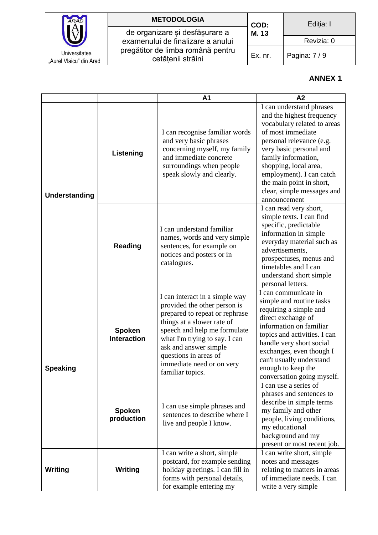

| <b>METODOLOGIA</b>                                     | COD:    | Ediția: I   |
|--------------------------------------------------------|---------|-------------|
| de organizare și desfășurare a                         | M. 13   |             |
| examenului de finalizare a anului                      |         | Revizia: 0  |
| pregătitor de limba română pentru<br>cetătenii străini | Ex. nr. | Pagina: 7/9 |

<span id="page-6-0"></span>

|                 |                                     | A <sub>1</sub>                                                                                                                                                                                                                                                                                     | A <sub>2</sub>                                                                                                                                                                                                                                                                                                         |
|-----------------|-------------------------------------|----------------------------------------------------------------------------------------------------------------------------------------------------------------------------------------------------------------------------------------------------------------------------------------------------|------------------------------------------------------------------------------------------------------------------------------------------------------------------------------------------------------------------------------------------------------------------------------------------------------------------------|
| Understanding   | Listening                           | I can recognise familiar words<br>and very basic phrases<br>concerning myself, my family<br>and immediate concrete<br>surroundings when people<br>speak slowly and clearly.                                                                                                                        | I can understand phrases<br>and the highest frequency<br>vocabulary related to areas<br>of most immediate<br>personal relevance (e.g.<br>very basic personal and<br>family information,<br>shopping, local area,<br>employment). I can catch<br>the main point in short,<br>clear, simple messages and<br>announcement |
|                 | Reading                             | I can understand familiar<br>names, words and very simple<br>sentences, for example on<br>notices and posters or in<br>catalogues.                                                                                                                                                                 | I can read very short,<br>simple texts. I can find<br>specific, predictable<br>information in simple<br>everyday material such as<br>advertisements,<br>prospectuses, menus and<br>timetables and I can<br>understand short simple<br>personal letters.                                                                |
| <b>Speaking</b> | <b>Spoken</b><br><b>Interaction</b> | I can interact in a simple way<br>provided the other person is<br>prepared to repeat or rephrase<br>things at a slower rate of<br>speech and help me formulate<br>what I'm trying to say. I can<br>ask and answer simple<br>questions in areas of<br>immediate need or on very<br>familiar topics. | I can communicate in<br>simple and routine tasks<br>requiring a simple and<br>direct exchange of<br>information on familiar<br>topics and activities. I can<br>handle very short social<br>exchanges, even though I<br>can't usually understand<br>enough to keep the<br>conversation going myself.                    |
|                 | <b>Spoken</b><br>production         | I can use simple phrases and<br>sentences to describe where I<br>live and people I know.                                                                                                                                                                                                           | I can use a series of<br>phrases and sentences to<br>describe in simple terms<br>my family and other<br>people, living conditions,<br>my educational<br>background and my<br>present or most recent job.                                                                                                               |
| Writing         | Writing                             | I can write a short, simple<br>postcard, for example sending<br>holiday greetings. I can fill in<br>forms with personal details,<br>for example entering my                                                                                                                                        | I can write short, simple<br>notes and messages<br>relating to matters in areas<br>of immediate needs. I can<br>write a very simple                                                                                                                                                                                    |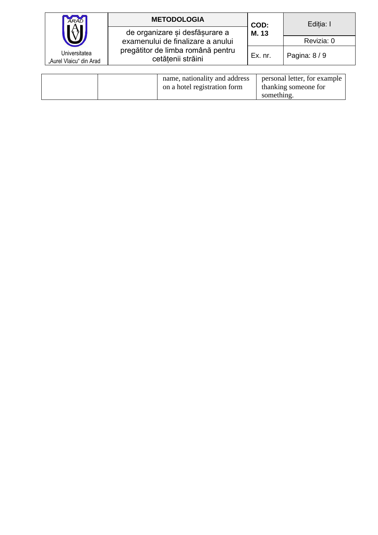| ARAD                                     | <b>METODOLOGIA</b>                                     | COD:    | Editia: I     |
|------------------------------------------|--------------------------------------------------------|---------|---------------|
|                                          | de organizare și desfășurare a                         | M. 13   |               |
|                                          | examenului de finalizare a anului                      |         | Revizia: 0    |
| Universitatea<br>"Aurel Vlaicu" din Arad | pregătitor de limba română pentru<br>cetătenii străini | Ex. nr. | Pagina: $8/9$ |

|  | name, nationality and address<br>on a hotel registration form | personal letter, for example<br>thanking someone for<br>something. |
|--|---------------------------------------------------------------|--------------------------------------------------------------------|
|--|---------------------------------------------------------------|--------------------------------------------------------------------|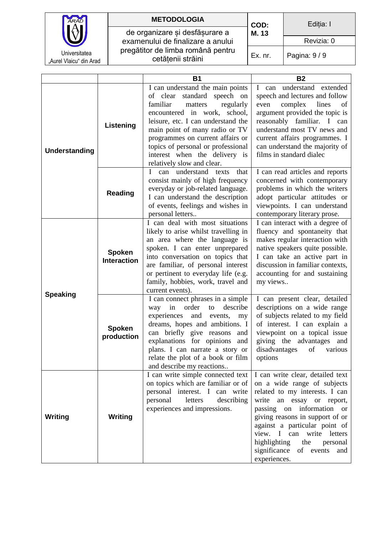| <b>ARAD</b>                              | <b>METODOLOGIA</b>                                     | COD:    |               |
|------------------------------------------|--------------------------------------------------------|---------|---------------|
|                                          | de organizare și desfășurare a                         | M. 13   | Editia: I     |
|                                          | examenului de finalizare a anului                      |         | Revizia: 0    |
| Universitatea<br>"Aurel Vlaicu" din Arad | pregătitor de limba română pentru<br>cetătenii străini | Ex. nr. | Pagina: $9/9$ |

|                      |                    | <b>B1</b>                                                   | <b>B2</b>                                                       |
|----------------------|--------------------|-------------------------------------------------------------|-----------------------------------------------------------------|
|                      |                    | I can understand the main points                            | I can understand extended                                       |
|                      |                    | of clear standard speech on                                 | speech and lectures and follow                                  |
|                      | Listening          | familiar<br>matters<br>regularly                            | even<br>complex<br>lines<br>of                                  |
|                      |                    | encountered in work, school,                                | argument provided the topic is                                  |
|                      |                    | leisure, etc. I can understand the                          | reasonably familiar. I can                                      |
|                      |                    | main point of many radio or TV                              | understand most TV news and                                     |
|                      |                    | programmes on current affairs or                            | current affairs programmes. I                                   |
| <b>Understanding</b> |                    | topics of personal or professional                          | can understand the majority of<br>films in standard dialec      |
|                      |                    | interest when the delivery is<br>relatively slow and clear. |                                                                 |
|                      |                    | understand texts<br>that<br>L<br>can                        | I can read articles and reports                                 |
|                      |                    | consist mainly of high frequency                            | concerned with contemporary                                     |
|                      |                    | everyday or job-related language.                           | problems in which the writers                                   |
|                      | <b>Reading</b>     | I can understand the description                            | adopt particular attitudes or                                   |
|                      |                    | of events, feelings and wishes in                           | viewpoints. I can understand                                    |
|                      |                    | personal letters                                            | contemporary literary prose.                                    |
|                      |                    | I can deal with most situations                             | I can interact with a degree of                                 |
|                      |                    | likely to arise whilst travelling in                        | fluency and spontaneity that                                    |
|                      |                    | an area where the language is                               | makes regular interaction with                                  |
|                      | <b>Spoken</b>      | spoken. I can enter unprepared                              | native speakers quite possible.                                 |
|                      | <b>Interaction</b> | into conversation on topics that                            | I can take an active part in                                    |
|                      |                    | are familiar, of personal interest                          | discussion in familiar contexts,                                |
|                      |                    | or pertinent to everyday life (e.g.                         | accounting for and sustaining                                   |
|                      |                    | family, hobbies, work, travel and                           | my views                                                        |
| <b>Speaking</b>      |                    | current events).                                            |                                                                 |
|                      |                    | I can connect phrases in a simple<br>order<br>describe      | I can present clear, detailed                                   |
|                      |                    | way<br>in<br>to<br>experiences and events,                  | descriptions on a wide range<br>of subjects related to my field |
|                      |                    | my<br>dreams, hopes and ambitions. I                        | of interest. I can explain a                                    |
|                      | <b>Spoken</b>      | can briefly give reasons<br>and                             | viewpoint on a topical issue                                    |
|                      | production         | explanations for opinions and                               | giving the advantages and                                       |
|                      |                    | plans. I can narrate a story or                             | disadvantages<br>of<br>various                                  |
|                      |                    | relate the plot of a book or film                           | options                                                         |
|                      |                    | and describe my reactions                                   |                                                                 |
|                      |                    | I can write simple connected text                           | I can write clear, detailed text                                |
|                      |                    | on topics which are familiar or of                          | on a wide range of subjects                                     |
|                      |                    | personal interest. I can write                              | related to my interests. I can                                  |
|                      |                    | personal letters<br>describing                              | write an essay or report,                                       |
|                      |                    | experiences and impressions.                                | passing on information or                                       |
| Writing              | <b>Writing</b>     |                                                             | giving reasons in support of or                                 |
|                      |                    |                                                             | against a particular point of                                   |
|                      |                    |                                                             | view. I can write letters                                       |
|                      |                    |                                                             | highlighting the personal<br>significance of events<br>and      |
|                      |                    |                                                             | experiences.                                                    |
|                      |                    |                                                             |                                                                 |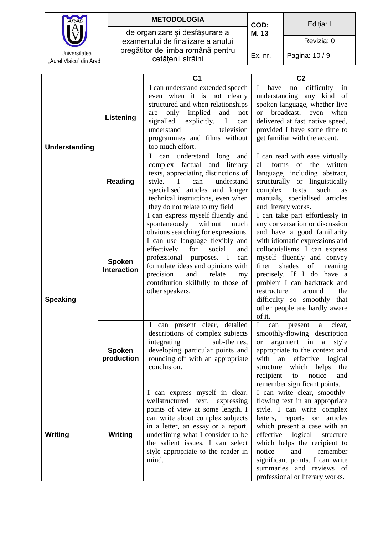

# **METODOLOGIA**

de organizare și desfășurare a examenului de finalizare a anului pregătitor de limba română pentru cetățenii străini

**COD: M. 13**

Revizia: 0

Ediția: I

Ex. nr.  $\vert$  Pagina: 10 / 9

|                      |                                     | C <sub>1</sub>                                                                                                                                                                                                                                                                                                                                          | C <sub>2</sub>                                                                                                                                                                                                                                                                                                                                                                                           |  |
|----------------------|-------------------------------------|---------------------------------------------------------------------------------------------------------------------------------------------------------------------------------------------------------------------------------------------------------------------------------------------------------------------------------------------------------|----------------------------------------------------------------------------------------------------------------------------------------------------------------------------------------------------------------------------------------------------------------------------------------------------------------------------------------------------------------------------------------------------------|--|
| <b>Understanding</b> | Listening                           | I can understand extended speech<br>even when it is not clearly<br>structured and when relationships<br>only implied<br>and<br>not<br>are<br>signalled explicitly.<br>$\mathbf{I}$<br>can<br>understand<br>television<br>programmes and films without<br>too much effort.                                                                               | difficulty in<br>I have<br>no<br>understanding<br>any kind of<br>spoken language, whether live<br>broadcast,<br>when<br><sub>or</sub><br>even<br>delivered at fast native speed,<br>provided I have some time to<br>get familiar with the accent.                                                                                                                                                        |  |
|                      | <b>Reading</b>                      | can understand long and<br>$\mathbf{I}$<br>complex factual and literary<br>texts, appreciating distinctions of<br>understand<br>style.<br>can<br>$\bf{I}$<br>specialised articles and longer<br>technical instructions, even when<br>they do not relate to my field                                                                                     | I can read with ease virtually<br>all forms of the<br>written<br>language, including abstract,<br>structurally or linguistically<br>complex texts<br>such<br>as<br>manuals, specialised articles<br>and literary works.                                                                                                                                                                                  |  |
| <b>Speaking</b>      | <b>Spoken</b><br><b>Interaction</b> | I can express myself fluently and<br>spontaneously without<br>much<br>obvious searching for expressions.<br>I can use language flexibly and<br>effectively<br>for<br>social<br>and<br>professional purposes. I<br>can<br>formulate ideas and opinions with<br>precision<br>and<br>relate<br>my<br>contribution skilfully to those of<br>other speakers. | I can take part effortlessly in<br>any conversation or discussion<br>and have a good familiarity<br>with idiomatic expressions and<br>colloquialisms. I can express<br>myself fluently and convey<br>finer<br>shades of<br>meaning<br>precisely. If I do have a<br>problem I can backtrack and<br>restructure<br>around<br>the<br>difficulty so smoothly that<br>other people are hardly aware<br>of it. |  |
|                      | <b>Spoken</b><br>production         | I can present clear, detailed<br>descriptions of complex subjects<br>integrating<br>sub-themes,<br>developing particular points and<br>rounding off with an appropriate<br>conclusion.                                                                                                                                                                  | $\bf{I}$<br>clear,<br>present a<br>can<br>smoothly-flowing description<br>argument in<br>style<br><b>or</b><br>a<br>appropriate to the context and<br>with an effective logical<br>which helps<br>the<br>structure<br>recipient<br>notice<br>to<br>and<br>remember significant points.                                                                                                                   |  |
| Writing              | <b>Writing</b>                      | I can express myself in clear,<br>wellstructured text, expressing<br>points of view at some length. I<br>can write about complex subjects<br>in a letter, an essay or a report,<br>underlining what I consider to be<br>the salient issues. I can select<br>style appropriate to the reader in<br>mind.                                                 | I can write clear, smoothly-<br>flowing text in an appropriate<br>style. I can write complex<br>letters, reports<br><b>or</b><br>articles<br>which present a case with an<br>effective logical<br>structure<br>which helps the recipient to<br>notice<br>and<br>remember<br>significant points. I can write<br>summaries and reviews of<br>professional or literary works.                               |  |